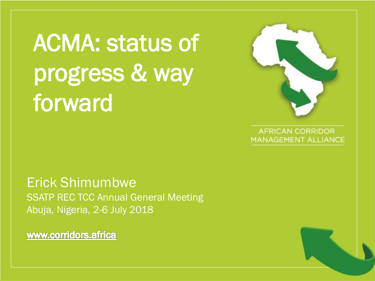ACMA: status of progress & way forward

Erick Shimumbwe SSATP REC TCC Annual General Meeting Abuja, Nigeria, 2-6 July 2018

www.corridors.africa

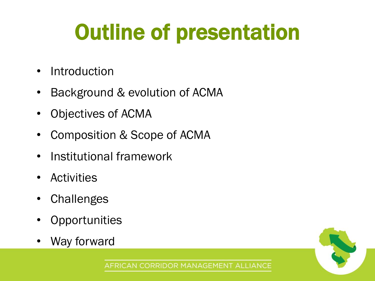# Outline of presentation

- Introduction
- Background & evolution of ACMA
- Objectives of ACMA
- Composition & Scope of ACMA
- Institutional framework
- Activities
- **Challenges**
- **Opportunities**
- Way forward

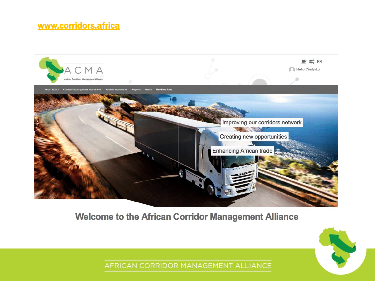#### [www.corridors.africa](http://www.corridors.africa)



#### **Welcome to the African Corridor Management Alliance**

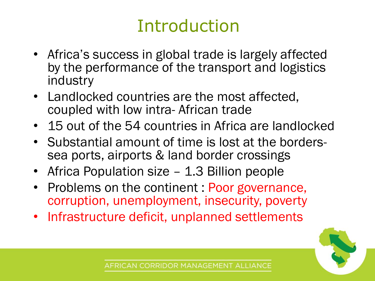### Introduction

- Africa's success in global trade is largely affected by the performance of the transport and logistics industry
- Landlocked countries are the most affected, coupled with low intra- African trade
- 15 out of the 54 countries in Africa are landlocked
- Substantial amount of time is lost at the borderssea ports, airports & land border crossings
- Africa Population size 1.3 Billion people
- Problems on the continent : Poor governance, corruption, unemployment, insecurity, poverty
- Infrastructure deficit, unplanned settlements

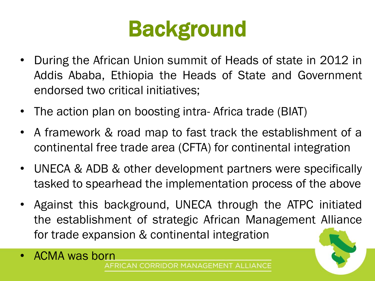# Background

- During the African Union summit of Heads of state in 2012 in Addis Ababa, Ethiopia the Heads of State and Government endorsed two critical initiatives;
- The action plan on boosting intra- Africa trade (BIAT)
- A framework & road map to fast track the establishment of a continental free trade area (CFTA) for continental integration
- UNECA & ADB & other development partners were specifically tasked to spearhead the implementation process of the above
- Against this background, UNECA through the ATPC initiated the establishment of strategic African Management Alliance for trade expansion & continental integration
- ACMA was born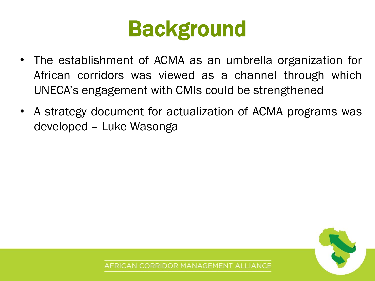

- The establishment of ACMA as an umbrella organization for African corridors was viewed as a channel through which UNECA's engagement with CMIs could be strengthened
- A strategy document for actualization of ACMA programs was developed – Luke Wasonga

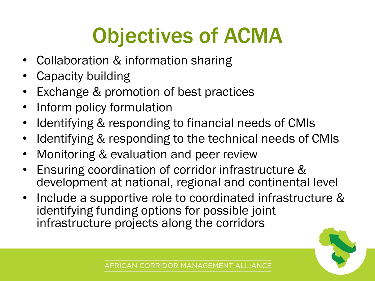# Objectives of ACMA

- Collaboration & information sharing
- Capacity building
- Exchange & promotion of best practices
- Inform policy formulation
- Identifying & responding to financial needs of CMIs
- Identifying & responding to the technical needs of CMIs
- Monitoring & evaluation and peer review
- Ensuring coordination of corridor infrastructure & development at national, regional and continental level
- Include a supportive role to coordinated infrastructure & identifying funding options for possible joint infrastructure projects along the corridors

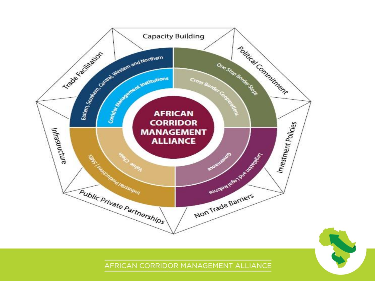



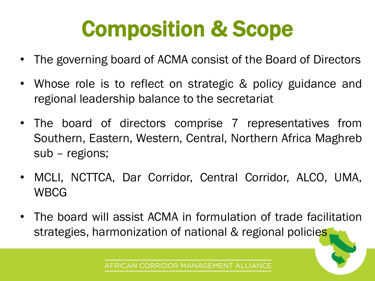# Composition & Scope

- The governing board of ACMA consist of the Board of Directors
- Whose role is to reflect on strategic & policy guidance and regional leadership balance to the secretariat
- The board of directors comprise 7 representatives from Southern, Eastern, Western, Central, Northern Africa Maghreb sub – regions;
- MCLI, NCTTCA, Dar Corridor, Central Corridor, ALCO, UMA, WBCG
- The board will assist ACMA in formulation of trade facilitation strategies, harmonization of national & regional policies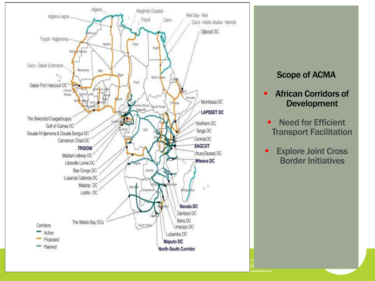

#### Scope of ACMA

- African Corridors of Development
- **E** Need for Efficient Transport Facilitation
- **Explore Joint Cross** Border Initiatives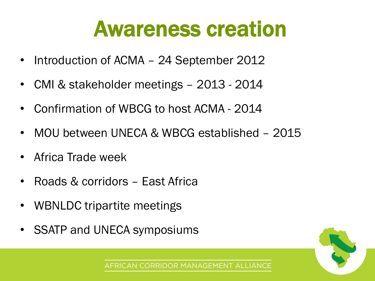### Awareness creation

- Introduction of ACMA 24 September 2012
- CMI & stakeholder meetings 2013 2014
- Confirmation of WBCG to host ACMA 2014
- MOU between UNECA & WBCG established 2015
- Africa Trade week
- Roads & corridors East Africa
- WBNLDC tripartite meetings
- SSATP and UNECA symposiums

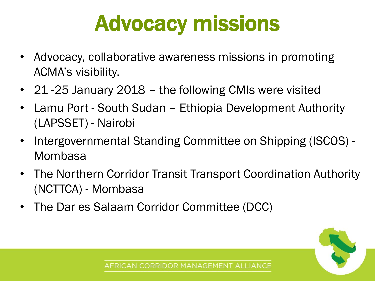# Advocacy missions

- Advocacy, collaborative awareness missions in promoting ACMA's visibility.
- 21 -25 January 2018 the following CMIs were visited
- Lamu Port South Sudan Ethiopia Development Authority (LAPSSET) - Nairobi
- Intergovernmental Standing Committee on Shipping (ISCOS) Mombasa
- The Northern Corridor Transit Transport Coordination Authority (NCTTCA) - Mombasa
- The Dar es Salaam Corridor Committee (DCC)

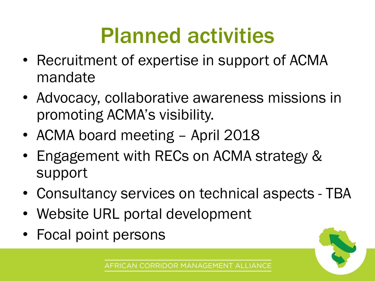# Planned activities

- Recruitment of expertise in support of ACMA mandate
- Advocacy, collaborative awareness missions in promoting ACMA's visibility.
- ACMA board meeting April 2018
- Engagement with RECs on ACMA strategy & support
- Consultancy services on technical aspects TBA
- Website URL portal development
- Focal point persons

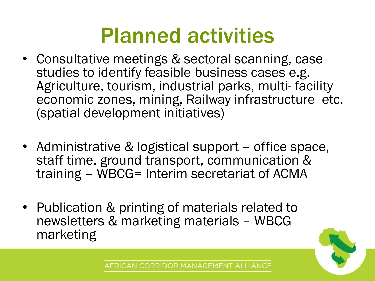### Planned activities

- Consultative meetings & sectoral scanning, case studies to identify feasible business cases e.g. Agriculture, tourism, industrial parks, multi- facility economic zones, mining, Railway infrastructure etc. (spatial development initiatives)
- Administrative & logistical support office space, staff time, ground transport, communication & training – WBCG= Interim secretariat of ACMA
- Publication & printing of materials related to newsletters & marketing materials – WBCG marketing

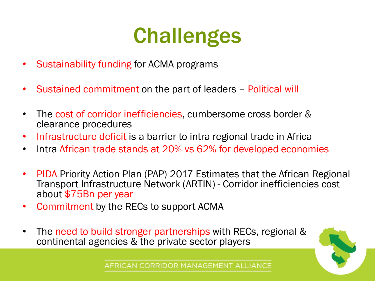# **Challenges**

- Sustainability funding for ACMA programs
- Sustained commitment on the part of leaders Political will
- The cost of corridor inefficiencies, cumbersome cross border & clearance procedures
- Infrastructure deficit is a barrier to intra regional trade in Africa
- Intra African trade stands at 20% vs 62% for developed economies
- PIDA Priority Action Plan (PAP) 2017 Estimates that the African Regional Transport Infrastructure Network (ARTIN) - Corridor inefficiencies cost about \$75Bn per year
- Commitment by the RECs to support ACMA
- The need to build stronger partnerships with RECs, regional & continental agencies & the private sector players

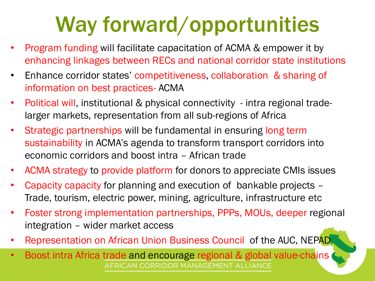# Way forward/opportunities

- Program funding will facilitate capacitation of ACMA & empower it by enhancing linkages between RECs and national corridor state institutions
- Enhance corridor states' competitiveness, collaboration & sharing of information on best practices- ACMA
- Political will, institutional & physical connectivity intra regional tradelarger markets, representation from all sub-regions of Africa
- Strategic partnerships will be fundamental in ensuring long term sustainability in ACMA's agenda to transform transport corridors into economic corridors and boost intra – African trade
- ACMA strategy to provide platform for donors to appreciate CMIs issues
- Capacity capacity for planning and execution of bankable projects Trade, tourism, electric power, mining, agriculture, infrastructure etc
- Foster strong implementation partnerships, PPPs, MOUs, deeper regional integration – wider market access
- Representation on African Union Business Council of the AUC, NEPAD
- Boost intra Africa trade and encourage regional & global value-chains AFRICAN CORRIDOR MANAGEMENT ALLIANCE